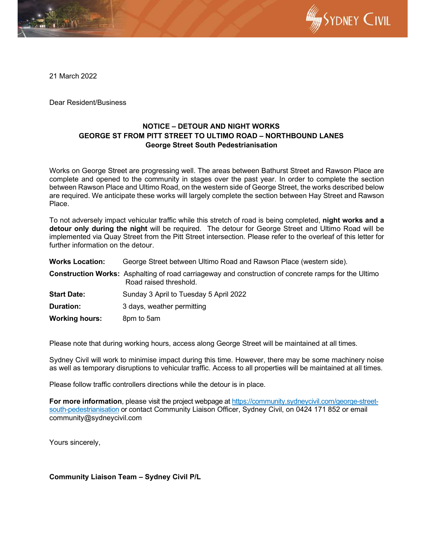

21 March 2022

Dear Resident/Business

## **NOTICE – DETOUR AND NIGHT WORKS GEORGE ST FROM PITT STREET TO ULTIMO ROAD – NORTHBOUND LANES George Street South Pedestrianisation**

Works on George Street are progressing well. The areas between Bathurst Street and Rawson Place are complete and opened to the community in stages over the past year. In order to complete the section between Rawson Place and Ultimo Road, on the western side of George Street, the works described below are required. We anticipate these works will largely complete the section between Hay Street and Rawson Place.

To not adversely impact vehicular traffic while this stretch of road is being completed, **night works and a detour only during the night** will be required. The detour for George Street and Ultimo Road will be implemented via Quay Street from the Pitt Street intersection. Please refer to the overleaf of this letter for further information on the detour.

**Works Location:** George Street between Ultimo Road and Rawson Place (western side).

- **Construction Works:** Asphalting of road carriageway and construction of concrete ramps for the Ultimo Road raised threshold.
- **Start Date:** Sunday 3 April to Tuesday 5 April 2022
- **Duration:** 3 days, weather permitting
- **Working hours:** 8pm to 5am

Please note that during working hours, access along George Street will be maintained at all times.

Sydney Civil will work to minimise impact during this time. However, there may be some machinery noise as well as temporary disruptions to vehicular traffic. Access to all properties will be maintained at all times.

Please follow traffic controllers directions while the detour is in place.

**For more information**, please visit the project webpage at https://community.sydneycivil.com/george-streetsouth-pedestrianisation or contact Community Liaison Officer, Sydney Civil, on 0424 171 852 or email community@sydneycivil.com

Yours sincerely,

## **Community Liaison Team – Sydney Civil P/L**